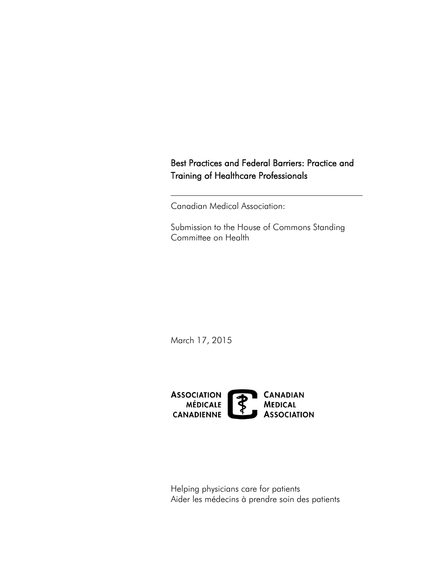# Best Practices and Federal Barriers: Practice and Training of Healthcare Professionals

Canadian Medical Association:

Submission to the House of Commons Standing<br>Committee on Health

March 17, 2015



Helping physicians care for patients Aider les médecins à prendre soin des patients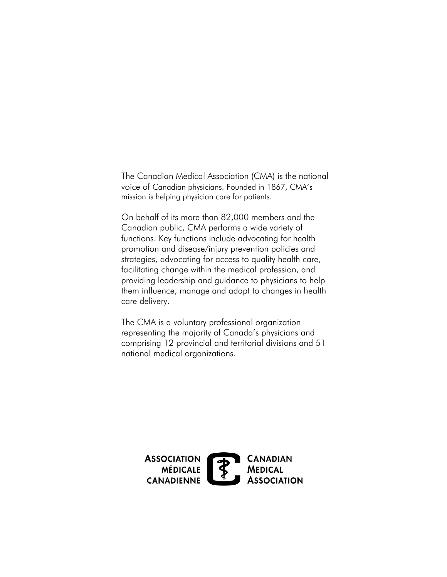voice of Canadian physicians. Founded in 1867, CMA's The Canadian Medical Association (CMA) is the national mission is helping physician care for patients.

On behalf of its more than 82,000 members and the Canadian public, CMA performs a wide variety of functions. Key functions include advocating for health promotion and disease/injury prevention policies and strategies, advocating for access to quality health care, facilitating change within the medical profession, and providing leadership and guidance to physicians to help them influence, manage and adapt to changes in health care delivery.

The CMA is a voluntary professional organization representing the majority of Canada's physicians and comprising 12 provincial and territorial divisions and 51 national medical organizations.

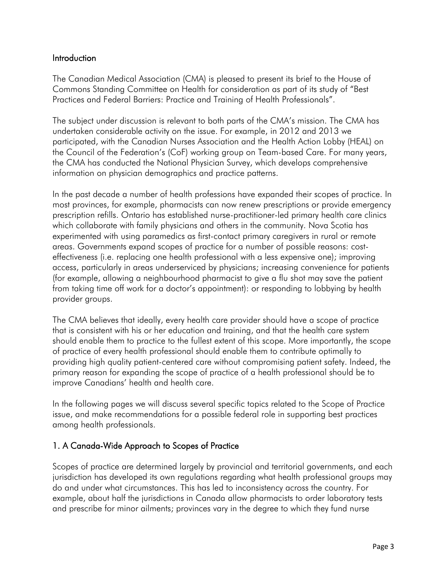### Introduction

The Canadian Medical Association (CMA) is pleased to present its brief to the House of Commons Standing Committee on Health for consideration as part of its study of "Best Practices and Federal Barriers: Practice and Training of Health Professionals".

 The subject under discussion is relevant to both parts of the CMA's mission. The CMA has undertaken considerable activity on the issue. For example, in 2012 and 2013 we participated, with the Canadian Nurses Association and the Health Action Lobby (HEAL) on the Council of the Federation's (CoF) working group on Team-based Care. For many years, the CMA has conducted the National Physician Survey, which develops comprehensive information on physician demographics and practice patterns.

In the past decade a number of health professions have expanded their scopes of practice. In most provinces, for example, pharmacists can now renew prescriptions or provide emergency prescription refills. Ontario has established nurse-practitioner-led primary health care clinics which collaborate with family physicians and others in the community. Nova Scotia has experimented with using paramedics as first-contact primary caregivers in rural or remote areas. Governments expand scopes of practice for a number of possible reasons: costeffectiveness (i.e. replacing one health professional with a less expensive one); improving access, particularly in areas underserviced by physicians; increasing convenience for patients (for example, allowing a neighbourhood pharmacist to give a flu shot may save the patient from taking time off work for a doctor's appointment): or responding to lobbying by health provider groups.

The CMA believes that ideally, every health care provider should have a scope of practice that is consistent with his or her education and training, and that the health care system should enable them to practice to the fullest extent of this scope. More importantly, the scope of practice of every health professional should enable them to contribute optimally to providing high quality patient-centered care without compromising patient safety. Indeed, the primary reason for expanding the scope of practice of a health professional should be to improve Canadians' health and health care.

 In the following pages we will discuss several specific topics related to the Scope of Practice issue, and make recommendations for a possible federal role in supporting best practices among health professionals.

### 1. A Canada-Wide Approach to Scopes of Practice

Scopes of practice are determined largely by provincial and territorial governments, and each jurisdiction has developed its own regulations regarding what health professional groups may do and under what circumstances. This has led to inconsistency across the country. For example, about half the jurisdictions in Canada allow pharmacists to order laboratory tests and prescribe for minor ailments; provinces vary in the degree to which they fund nurse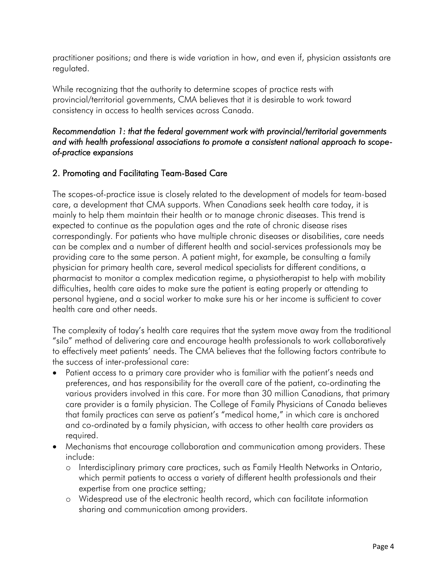practitioner positions; and there is wide variation in how, and even if, physician assistants are regulated.

While recognizing that the authority to determine scopes of practice rests with provincial/territorial governments, CMA believes that it is desirable to work toward consistency in access to health services across Canada.

### *Recommendation 1: that the federal government work with provincial/territorial governments of-practice expansions and with health professional associations to promote a consistent national approach to scope-*

## 2. Promoting and Facilitating Team-Based Care

 correspondingly. For patients who have multiple chronic diseases or disabilities, care needs The scopes-of-practice issue is closely related to the development of models for team-based care, a development that CMA supports. When Canadians seek health care today, it is mainly to help them maintain their health or to manage chronic diseases. This trend is expected to continue as the population ages and the rate of chronic disease rises can be complex and a number of different health and social-services professionals may be providing care to the same person. A patient might, for example, be consulting a family physician for primary health care, several medical specialists for different conditions, a pharmacist to monitor a complex medication regime, a physiotherapist to help with mobility difficulties, health care aides to make sure the patient is eating properly or attending to personal hygiene, and a social worker to make sure his or her income is sufficient to cover health care and other needs.

 to effectively meet patients' needs. The CMA believes that the following factors contribute to The complexity of today's health care requires that the system move away from the traditional "silo" method of delivering care and encourage health professionals to work collaboratively the success of inter-professional care:

- Patient access to a primary care provider who is familiar with the patient's needs and preferences, and has responsibility for the overall care of the patient, co-ordinating the various providers involved in this care. For more than 30 million Canadians, that primary care provider is a family physician. The College of Family Physicians of Canada believes that family practices can serve as patient's "medical home," in which care is anchored and co-ordinated by a family physician, with access to other health care providers as required.
- Mechanisms that encourage collaboration and communication among providers. These include:
	- o Interdisciplinary primary care practices, such as Family Health Networks in Ontario, which permit patients to access a variety of different health professionals and their expertise from one practice setting;
	- o Widespread use of the electronic health record, which can facilitate information sharing and communication among providers.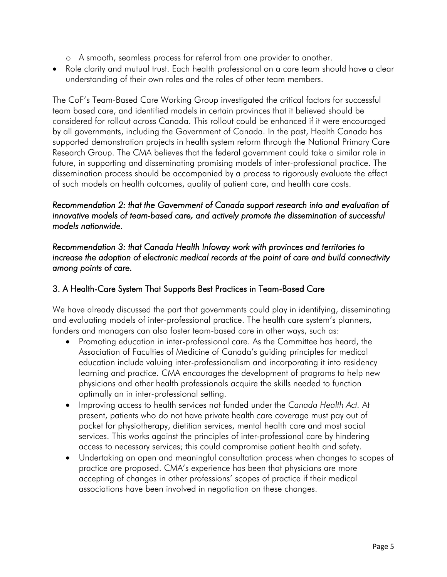- o A smooth, seamless process for referral from one provider to another.
- understanding of their own roles and the roles of other team members. Role clarity and mutual trust. Each health professional on a care team should have a clear

 considered for rollout across Canada. This rollout could be enhanced if it were encouraged future, in supporting and disseminating promising models of inter-professional practice. The The CoF's Team-Based Care Working Group investigated the critical factors for successful team based care, and identified models in certain provinces that it believed should be by all governments, including the Government of Canada. In the past, Health Canada has supported demonstration projects in health system reform through the National Primary Care Research Group. The CMA believes that the federal government could take a similar role in dissemination process should be accompanied by a process to rigorously evaluate the effect of such models on health outcomes, quality of patient care, and health care costs.

### *Recommendation 2: that the Government of Canada support research into and evaluation of innovative models of team-based care, and actively promote the dissemination of successful models nationwide.*

 *Recommendation 3: that Canada Health Infoway work with provinces and territories to increase the adoption of electronic medical records at the point of care and build connectivity among points of care.* 

### 3. A Health-Care System That Supports Best Practices in Team-Based Care

We have already discussed the part that governments could play in identifying, disseminating and evaluating models of inter-professional practice. The health care system's planners, funders and managers can also foster team-based care in other ways, such as:

- Promoting education in inter-professional care. As the Committee has heard, the Association of Faculties of Medicine of Canada's guiding principles for medical education include valuing inter-professionalism and incorporating it into residency learning and practice. CMA encourages the development of programs to help new physicians and other health professionals acquire the skills needed to function optimally an in inter-professional setting.
- Improving access to health services not funded under the *Canada Health Act.* At present, patients who do not have private health care coverage must pay out of pocket for physiotherapy, dietitian services, mental health care and most social services. This works against the principles of inter-professional care by hindering access to necessary services; this could compromise patient health and safety.
- Undertaking an open and meaningful consultation process when changes to scopes of practice are proposed. CMA's experience has been that physicians are more accepting of changes in other professions' scopes of practice if their medical associations have been involved in negotiation on these changes.